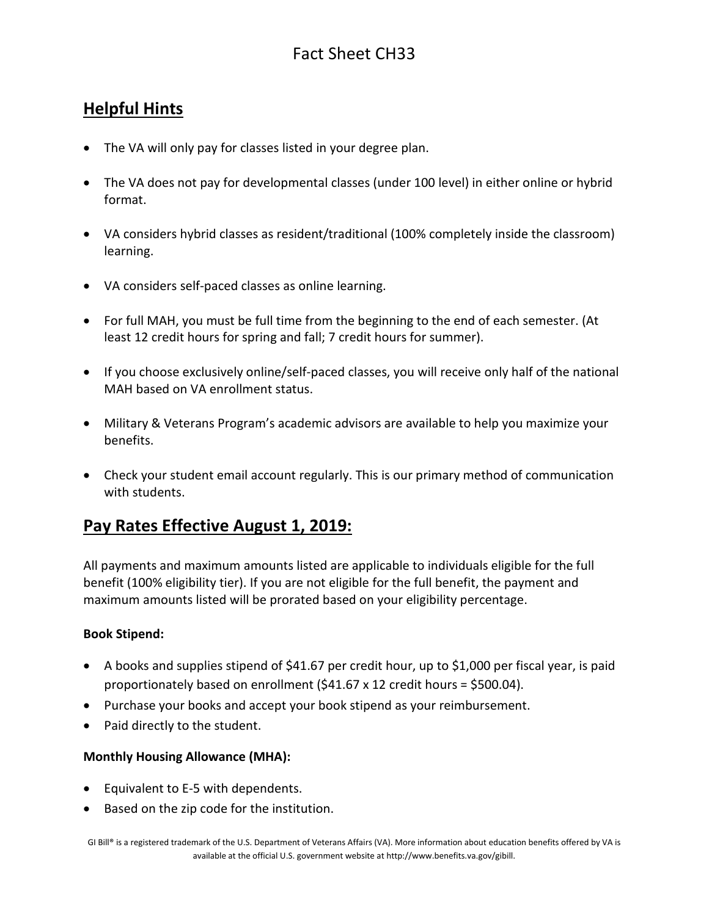### **Helpful Hints**

- The VA will only pay for classes listed in your degree plan.
- The VA does not pay for developmental classes (under 100 level) in either online or hybrid format.
- VA considers hybrid classes as resident/traditional (100% completely inside the classroom) learning.
- VA considers self-paced classes as online learning.
- For full MAH, you must be full time from the beginning to the end of each semester. (At least 12 credit hours for spring and fall; 7 credit hours for summer).
- If you choose exclusively online/self-paced classes, you will receive only half of the national MAH based on VA enrollment status.
- Military & Veterans Program's academic advisors are available to help you maximize your benefits.
- Check your student email account regularly. This is our primary method of communication with students.

### **Pay Rates Effective August 1, 2019:**

All payments and maximum amounts listed are applicable to individuals eligible for the full benefit (100% eligibility tier). If you are not eligible for the full benefit, the payment and maximum amounts listed will be prorated based on your [eligibility percentage.](https://gibill.custhelp.com/app/answers/detail/a_id/947)

#### **Book Stipend:**

- A books and supplies stipend of \$41.67 per credit hour, up to \$1,000 per fiscal year, is paid proportionately based on enrollment (\$41.67 x 12 credit hours = \$500.04).
- Purchase your books and accept your book stipend as your reimbursement.
- Paid directly to the student.

#### **Monthly Housing Allowance (MHA):**

- Equivalent to E-5 with dependents.
- Based on the zip code for the institution.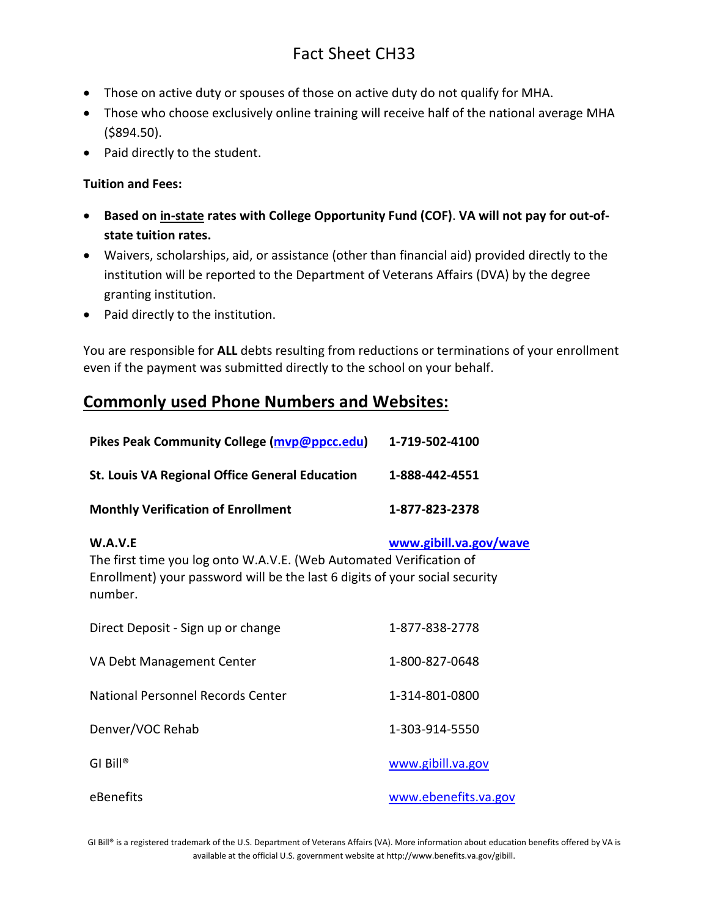- Those on active duty or spouses of those on active duty do not qualify for MHA.
- Those who choose exclusively online training will receive half of the national average MHA (\$894.50).
- Paid directly to the student.

#### **Tuition and Fees:**

- **Based on in-state rates with College Opportunity Fund (COF)**. **VA will not pay for out-ofstate tuition rates.**
- Waivers, scholarships, aid, or assistance (other than financial aid) provided directly to the institution will be reported to the Department of Veterans Affairs (DVA) by the degree granting institution.
- Paid directly to the institution.

You are responsible for **ALL** debts resulting from reductions or terminations of your enrollment even if the payment was submitted directly to the school on your behalf.

## **Commonly used Phone Numbers and Websites:**

| Pikes Peak Community College (mvp@ppcc.edu)                                                                                                                              | 1-719-502-4100         |
|--------------------------------------------------------------------------------------------------------------------------------------------------------------------------|------------------------|
| <b>St. Louis VA Regional Office General Education</b>                                                                                                                    | 1-888-442-4551         |
| <b>Monthly Verification of Enrollment</b>                                                                                                                                | 1-877-823-2378         |
| W.A.V.E<br>The first time you log onto W.A.V.E. (Web Automated Verification of<br>Enrollment) your password will be the last 6 digits of your social security<br>number. | www.gibill.va.gov/wave |
| Direct Deposit - Sign up or change                                                                                                                                       | 1-877-838-2778         |
| VA Debt Management Center                                                                                                                                                | 1-800-827-0648         |
| National Personnel Records Center                                                                                                                                        | 1-314-801-0800         |
| Denver/VOC Rehab                                                                                                                                                         | 1-303-914-5550         |
| $GI$ Bill®                                                                                                                                                               | www.gibill.va.gov      |
| eBenefits                                                                                                                                                                | www.ebenefits.va.gov   |

GI Bill® is a registered trademark of the U.S. Department of Veterans Affairs (VA). More information about education benefits offered by VA is available at the official U.S. government website a[t http://www.benefits.va.gov/gibill.](http://www.benefits.va.gov/gibill)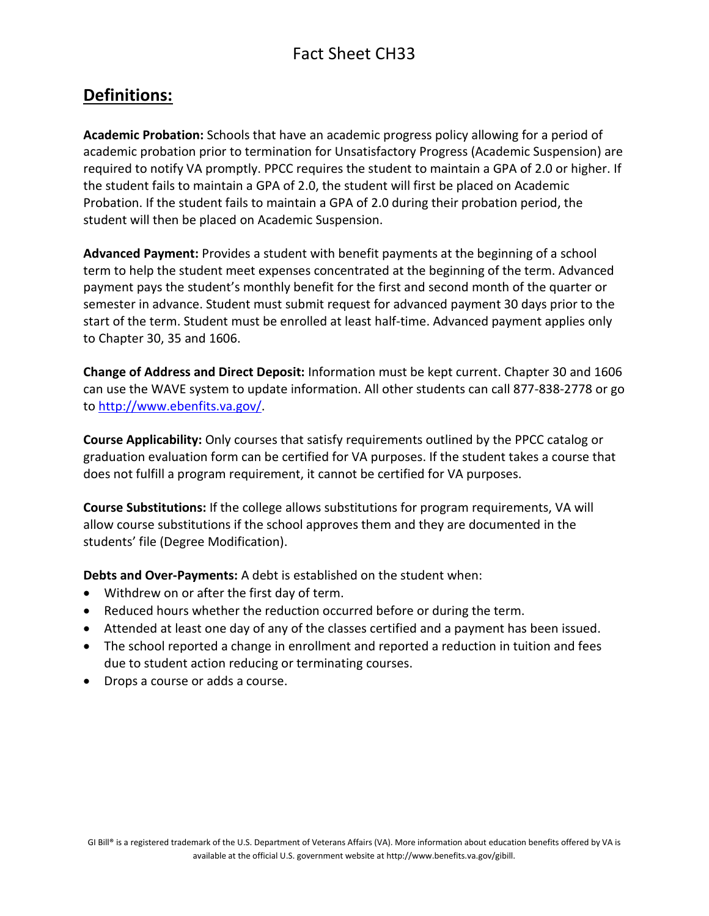### **Definitions:**

**Academic Probation:** Schools that have an academic progress policy allowing for a period of academic probation prior to termination for Unsatisfactory Progress (Academic Suspension) are required to notify VA promptly. PPCC requires the student to maintain a GPA of 2.0 or higher. If the student fails to maintain a GPA of 2.0, the student will first be placed on Academic Probation. If the student fails to maintain a GPA of 2.0 during their probation period, the student will then be placed on Academic Suspension.

**Advanced Payment:** Provides a student with benefit payments at the beginning of a school term to help the student meet expenses concentrated at the beginning of the term. Advanced payment pays the student's monthly benefit for the first and second month of the quarter or semester in advance. Student must submit request for advanced payment 30 days prior to the start of the term. Student must be enrolled at least half-time. Advanced payment applies only to Chapter 30, 35 and 1606.

**Change of Address and Direct Deposit:** Information must be kept current. Chapter 30 and 1606 can use the WAVE system to update information. All other students can call 877-838-2778 or go to [http://www.ebenfits.va.gov/.](http://www.ebenfits.va.gov/)

**Course Applicability:** Only courses that satisfy requirements outlined by the PPCC catalog or graduation evaluation form can be certified for VA purposes. If the student takes a course that does not fulfill a program requirement, it cannot be certified for VA purposes.

**Course Substitutions:** If the college allows substitutions for program requirements, VA will allow course substitutions if the school approves them and they are documented in the students' file (Degree Modification).

**Debts and Over-Payments:** A debt is established on the student when:

- Withdrew on or after the first day of term.
- Reduced hours whether the reduction occurred before or during the term.
- Attended at least one day of any of the classes certified and a payment has been issued.
- The school reported a change in enrollment and reported a reduction in tuition and fees due to student action reducing or terminating courses.
- Drops a course or adds a course.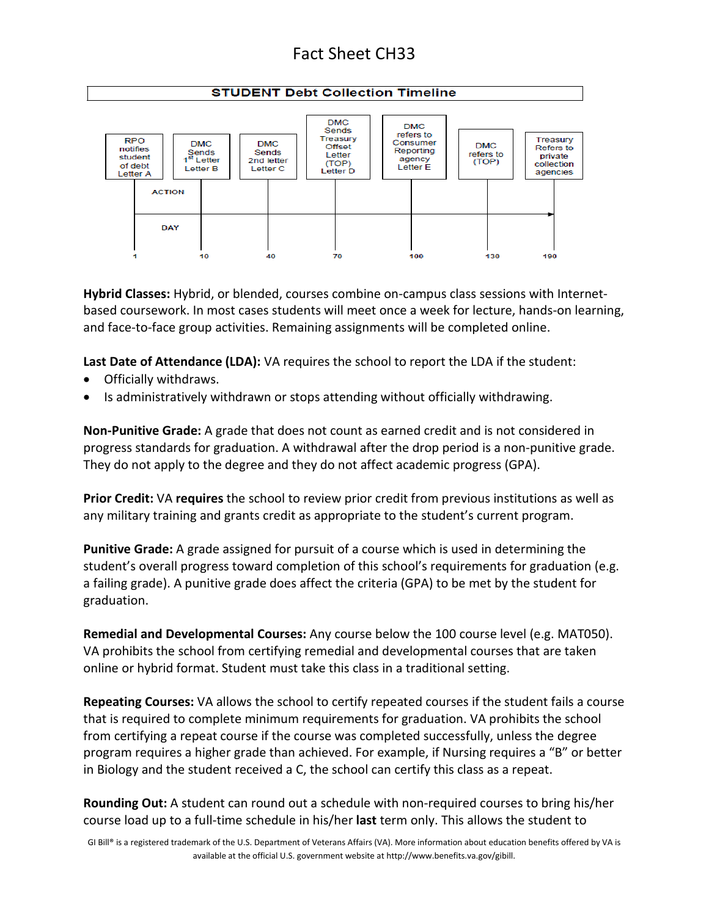#### **STUDENT Debt Collection Timeline**



**Hybrid Classes:** Hybrid, or blended, courses combine on-campus class sessions with Internetbased coursework. In most cases students will meet once a week for lecture, hands-on learning, and face-to-face group activities. Remaining assignments will be completed online.

**Last Date of Attendance (LDA):** VA requires the school to report the LDA if the student:

- Officially withdraws.
- Is administratively withdrawn or stops attending without officially withdrawing.

**Non-Punitive Grade:** A grade that does not count as earned credit and is not considered in progress standards for graduation. A withdrawal after the drop period is a non-punitive grade. They do not apply to the degree and they do not affect academic progress (GPA).

**Prior Credit:** VA **requires** the school to review prior credit from previous institutions as well as any military training and grants credit as appropriate to the student's current program.

**Punitive Grade:** A grade assigned for pursuit of a course which is used in determining the student's overall progress toward completion of this school's requirements for graduation (e.g. a failing grade). A punitive grade does affect the criteria (GPA) to be met by the student for graduation.

**Remedial and Developmental Courses:** Any course below the 100 course level (e.g. MAT050). VA prohibits the school from certifying remedial and developmental courses that are taken online or hybrid format. Student must take this class in a traditional setting.

**Repeating Courses:** VA allows the school to certify repeated courses if the student fails a course that is required to complete minimum requirements for graduation. VA prohibits the school from certifying a repeat course if the course was completed successfully, unless the degree program requires a higher grade than achieved. For example, if Nursing requires a "B" or better in Biology and the student received a C, the school can certify this class as a repeat.

**Rounding Out:** A student can round out a schedule with non-required courses to bring his/her course load up to a full-time schedule in his/her **last** term only. This allows the student to

GI Bill® is a registered trademark of the U.S. Department of Veterans Affairs (VA). More information about education benefits offered by VA is available at the official U.S. government website a[t http://www.benefits.va.gov/gibill.](http://www.benefits.va.gov/gibill)